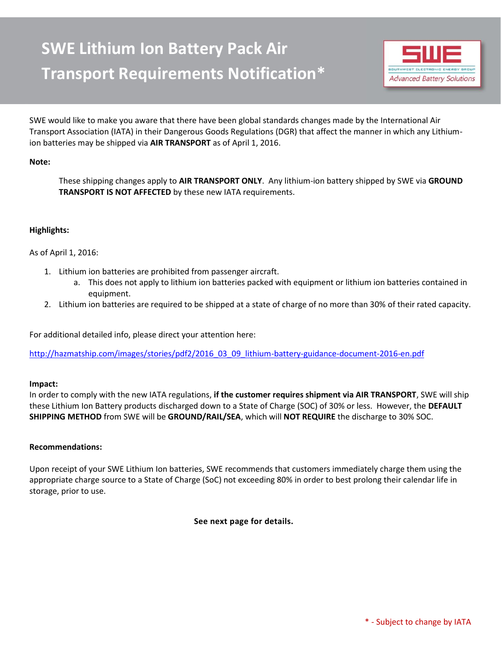# **SWE Lithium Ion Battery Pack Air Transport Requirements Notification\***



SWE would like to make you aware that there have been global standards changes made by the International Air Transport Association (IATA) in their Dangerous Goods Regulations (DGR) that affect the manner in which any Lithiumion batteries may be shipped via **AIR TRANSPORT** as of April 1, 2016.

## **Note:**

These shipping changes apply to **AIR TRANSPORT ONLY**. Any lithium-ion battery shipped by SWE via **GROUND TRANSPORT IS NOT AFFECTED** by these new IATA requirements.

## **Highlights:**

## As of April 1, 2016:

- 1. Lithium ion batteries are prohibited from passenger aircraft.
	- a. This does not apply to lithium ion batteries packed with equipment or lithium ion batteries contained in equipment.
- 2. Lithium ion batteries are required to be shipped at a state of charge of no more than 30% of their rated capacity.

For additional detailed info, please direct your attention here:

[http://hazmatship.com/images/stories/pdf2/2016\\_03\\_09\\_lithium-battery-guidance-document-2016-en.pdf](http://hazmatship.com/images/stories/pdf2/2016_03_09_lithium-battery-guidance-document-2016-en.pdf)

### **Impact:**

In order to comply with the new IATA regulations, **if the customer requires shipment via AIR TRANSPORT**, SWE will ship these Lithium Ion Battery products discharged down to a State of Charge (SOC) of 30% or less. However, the **DEFAULT SHIPPING METHOD** from SWE will be **GROUND/RAIL/SEA**, which will **NOT REQUIRE** the discharge to 30% SOC.

### **Recommendations:**

Upon receipt of your SWE Lithium Ion batteries, SWE recommends that customers immediately charge them using the appropriate charge source to a State of Charge (SoC) not exceeding 80% in order to best prolong their calendar life in storage, prior to use.

**See next page for details.**